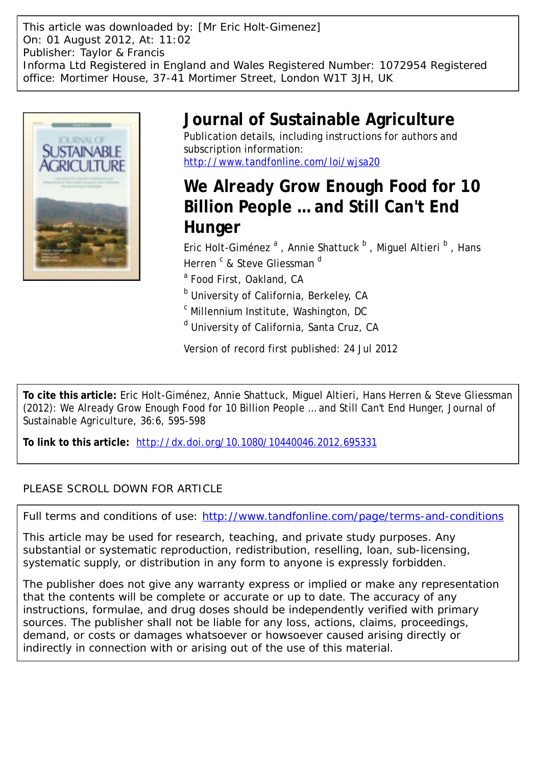This article was downloaded by: [Mr Eric Holt-Gimenez] On: 01 August 2012, At: 11:02 Publisher: Taylor & Francis Informa Ltd Registered in England and Wales Registered Number: 1072954 Registered office: Mortimer House, 37-41 Mortimer Street, London W1T 3JH, UK



# **Journal of Sustainable Agriculture**

Publication details, including instructions for authors and subscription information: <http://www.tandfonline.com/loi/wjsa20>

## **We Already Grow Enough Food for 10 Billion People … and Still Can't End Hunger**

Eric Holt-Giménez <sup>a</sup> , Annie Shattuck <sup>b</sup> , Miguel Altieri <sup>b</sup> , Hans Herren <sup>c</sup> & Steve Gliessman <sup>d</sup>

<sup>a</sup> Food First, Oakland, CA

<sup>b</sup> University of California, Berkeley, CA

<sup>c</sup> Millennium Institute, Washington, DC

<sup>d</sup> University of California, Santa Cruz, CA

Version of record first published: 24 Jul 2012

**To cite this article:** Eric Holt-Giménez, Annie Shattuck, Miguel Altieri, Hans Herren & Steve Gliessman (2012): We Already Grow Enough Food for 10 Billion People … and Still Can't End Hunger, Journal of Sustainable Agriculture, 36:6, 595-598

**To link to this article:** <http://dx.doi.org/10.1080/10440046.2012.695331>

### PLEASE SCROLL DOWN FOR ARTICLE

Full terms and conditions of use:<http://www.tandfonline.com/page/terms-and-conditions>

This article may be used for research, teaching, and private study purposes. Any substantial or systematic reproduction, redistribution, reselling, loan, sub-licensing, systematic supply, or distribution in any form to anyone is expressly forbidden.

The publisher does not give any warranty express or implied or make any representation that the contents will be complete or accurate or up to date. The accuracy of any instructions, formulae, and drug doses should be independently verified with primary sources. The publisher shall not be liable for any loss, actions, claims, proceedings, demand, or costs or damages whatsoever or howsoever caused arising directly or indirectly in connection with or arising out of the use of this material.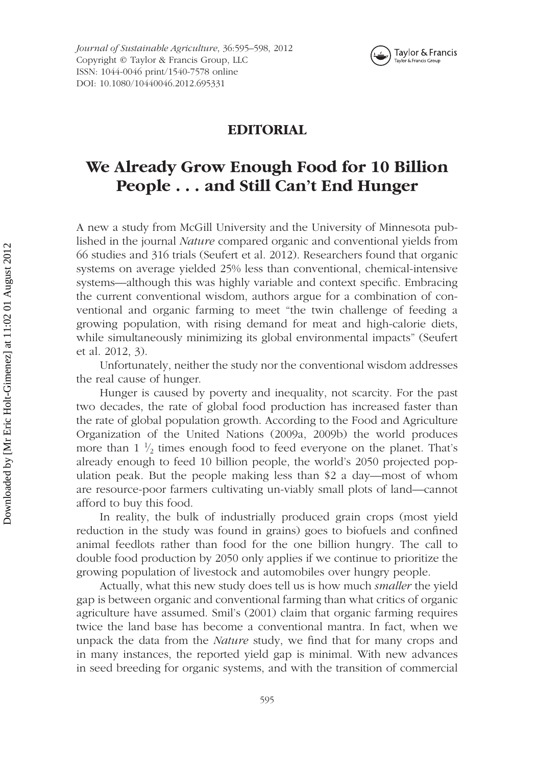

#### **EDITORIAL**

### **We Already Grow Enough Food for 10 Billion People** *...* **and Still Can't End Hunger**

A new a study from McGill University and the University of Minnesota published in the journal *Nature* compared organic and conventional yields from 66 studies and 316 trials (Seufert et al. 2012). Researchers found that organic systems on average yielded 25% less than conventional, chemical-intensive systems—although this was highly variable and context specific. Embracing the current conventional wisdom, authors argue for a combination of conventional and organic farming to meet "the twin challenge of feeding a growing population, with rising demand for meat and high-calorie diets, while simultaneously minimizing its global environmental impacts" (Seufert et al. 2012, 3).

Unfortunately, neither the study nor the conventional wisdom addresses the real cause of hunger.

Hunger is caused by poverty and inequality, not scarcity. For the past two decades, the rate of global food production has increased faster than the rate of global population growth. According to the Food and Agriculture Organization of the United Nations (2009a, 2009b) the world produces more than  $1\frac{1}{2}$  times enough food to feed everyone on the planet. That's already enough to feed 10 billion people, the world's 2050 projected population peak. But the people making less than \$2 a day—most of whom are resource-poor farmers cultivating un-viably small plots of land—cannot afford to buy this food.

In reality, the bulk of industrially produced grain crops (most yield reduction in the study was found in grains) goes to biofuels and confined animal feedlots rather than food for the one billion hungry. The call to double food production by 2050 only applies if we continue to prioritize the growing population of livestock and automobiles over hungry people.

Actually, what this new study does tell us is how much *smaller* the yield gap is between organic and conventional farming than what critics of organic agriculture have assumed. Smil's (2001) claim that organic farming requires twice the land base has become a conventional mantra. In fact, when we unpack the data from the *Nature* study, we find that for many crops and in many instances, the reported yield gap is minimal. With new advances in seed breeding for organic systems, and with the transition of commercial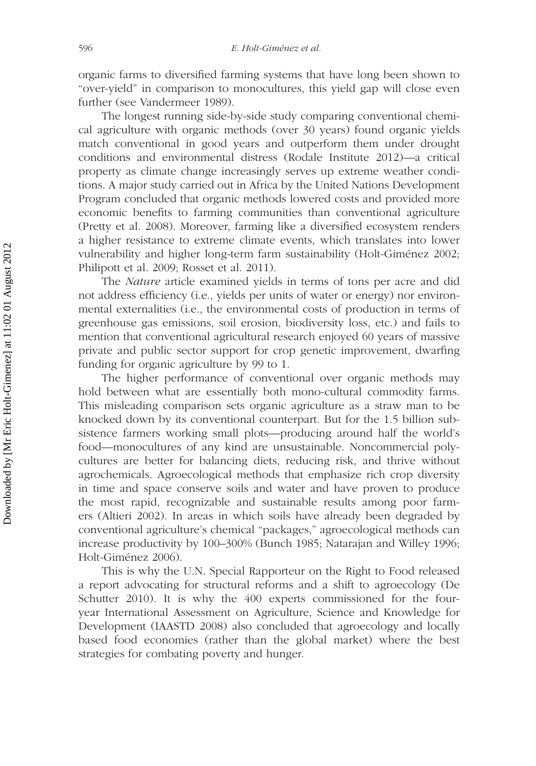organic farms to diversified farming systems that have long been shown to "over-yield" in comparison to monocultures, this yield gap will close even further (see Vandermeer 1989).

The longest running side-by-side study comparing conventional chemical agriculture with organic methods (over 30 years) found organic yields match conventional in good years and outperform them under drought conditions and environmental distress (Rodale Institute 2012)—a critical property as climate change increasingly serves up extreme weather conditions. A major study carried out in Africa by the United Nations Development Program concluded that organic methods lowered costs and provided more economic benefits to farming communities than conventional agriculture (Pretty et al. 2008). Moreover, farming like a diversified ecosystem renders a higher resistance to extreme climate events, which translates into lower vulnerability and higher long-term farm sustainability (Holt-Giménez 2002; Philipott et al. 2009; Rosset et al. 2011).

The *Nature* article examined yields in terms of tons per acre and did not address efficiency (i.e., yields per units of water or energy) nor environmental externalities (i.e., the environmental costs of production in terms of greenhouse gas emissions, soil erosion, biodiversity loss, etc.) and fails to mention that conventional agricultural research enjoyed 60 years of massive private and public sector support for crop genetic improvement, dwarfing funding for organic agriculture by 99 to 1.

The higher performance of conventional over organic methods may hold between what are essentially both mono-cultural commodity farms. This misleading comparison sets organic agriculture as a straw man to be knocked down by its conventional counterpart. But for the 1.5 billion subsistence farmers working small plots—producing around half the world's food—monocultures of any kind are unsustainable. Noncommercial polycultures are better for balancing diets, reducing risk, and thrive without agrochemicals. Agroecological methods that emphasize rich crop diversity in time and space conserve soils and water and have proven to produce the most rapid, recognizable and sustainable results among poor farmers (Altieri 2002). In areas in which soils have already been degraded by conventional agriculture's chemical "packages," agroecological methods can increase productivity by 100–300% (Bunch 1985; Natarajan and Willey 1996; Holt-Giménez 2006).

This is why the U.N. Special Rapporteur on the Right to Food released a report advocating for structural reforms and a shift to agroecology (De Schutter 2010). It is why the 400 experts commissioned for the fouryear International Assessment on Agriculture, Science and Knowledge for Development (IAASTD 2008) also concluded that agroecology and locally based food economies (rather than the global market) where the best strategies for combating poverty and hunger.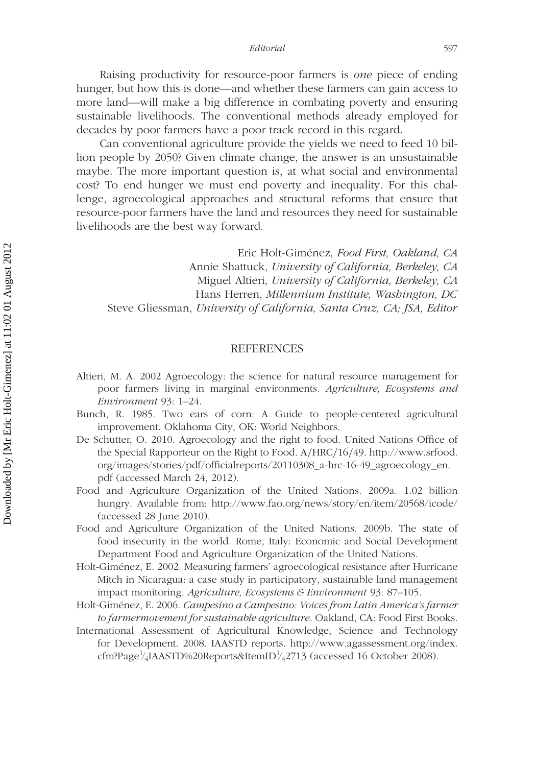*Editorial* 597

Raising productivity for resource-poor farmers is *one* piece of ending hunger, but how this is done—and whether these farmers can gain access to more land—will make a big difference in combating poverty and ensuring sustainable livelihoods. The conventional methods already employed for decades by poor farmers have a poor track record in this regard.

Can conventional agriculture provide the yields we need to feed 10 billion people by 2050? Given climate change, the answer is an unsustainable maybe. The more important question is, at what social and environmental cost? To end hunger we must end poverty and inequality. For this challenge, agroecological approaches and structural reforms that ensure that resource-poor farmers have the land and resources they need for sustainable livelihoods are the best way forward.

Eric Holt-Giménez, *Food First, Oakland, CA* Annie Shattuck, *University of California, Berkeley, CA* Miguel Altieri, *University of California, Berkeley, CA* Hans Herren, *Millennium Institute, Washington, DC* Steve Gliessman, *University of California, Santa Cruz, CA; JSA, Editor*

#### REFERENCES

- Altieri, M. A. 2002 Agroecology: the science for natural resource management for poor farmers living in marginal environments. *Agriculture, Ecosystems and Environment* 93: 1–24.
- Bunch, R. 1985. Two ears of corn: A Guide to people-centered agricultural improvement. Oklahoma City, OK: World Neighbors.
- De Schutter, O. 2010. Agroecology and the right to food. United Nations Office of the Special Rapporteur on the Right to Food. A*/*HRC*/*16*/*49. http://www.srfood. org/images/stories/pdf/officialreports/20110308\_a-hrc-16-49\_agroecology\_en. pdf (accessed March 24, 2012).
- Food and Agriculture Organization of the United Nations. 2009a. 1.02 billion hungry. Available from: http://www.fao.org/news/story/en/item/20568/icode/ (accessed 28 June 2010).
- Food and Agriculture Organization of the United Nations. 2009b. The state of food insecurity in the world. Rome, Italy: Economic and Social Development Department Food and Agriculture Organization of the United Nations.
- Holt-Giménez, E. 2002. Measuring farmers' agroecological resistance after Hurricane Mitch in Nicaragua: a case study in participatory, sustainable land management impact monitoring. *Agriculture, Ecosystems & Environment* 93: 87–105.
- Holt-Giménez, E. 2006. *Campesino a Campesino: Voices from Latin America's farmer to farmermovement for sustainable agriculture*. Oakland, CA: Food First Books.
- International Assessment of Agricultural Knowledge, Science and Technology for Development. 2008. IAASTD reports. http://www.agassessment.org/index. cfm?Page<sup>1</sup>/<sub>4</sub>IAASTD%20Reports&ItemID<sup>1</sup>/<sub>4</sub>2713 (accessed 16 October 2008).